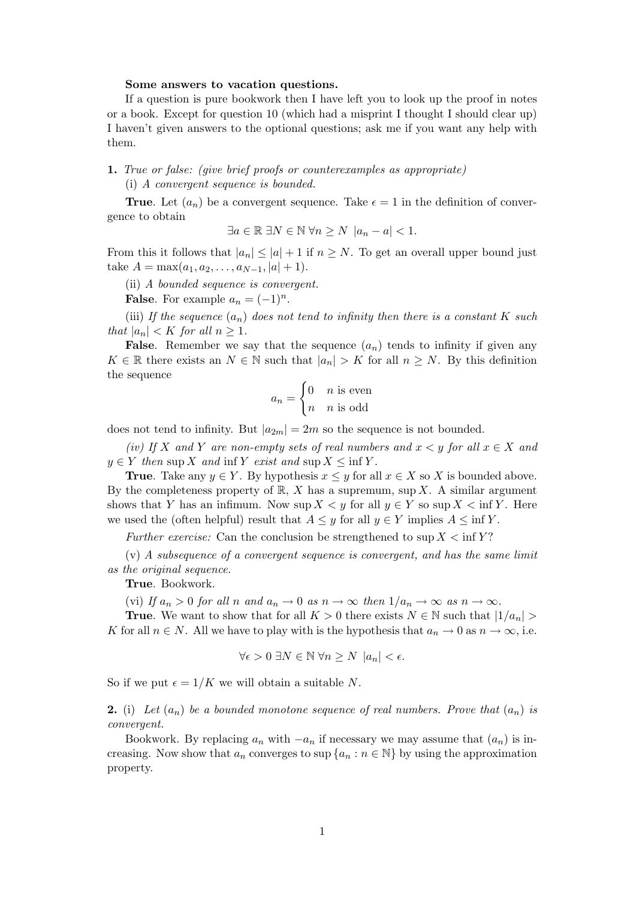## Some answers to vacation questions.

If a question is pure bookwork then I have left you to look up the proof in notes or a book. Except for question 10 (which had a misprint I thought I should clear up) I haven't given answers to the optional questions; ask me if you want any help with them.

1. True or false: (give brief proofs or counterexamples as appropriate) (i) A convergent sequence is bounded.

**True.** Let  $(a_n)$  be a convergent sequence. Take  $\epsilon = 1$  in the definition of convergence to obtain

$$
\exists a \in \mathbb{R} \; \exists N \in \mathbb{N} \; \forall n \ge N \; |a_n - a| < 1.
$$

From this it follows that  $|a_n| \leq |a| + 1$  if  $n \geq N$ . To get an overall upper bound just take  $A = \max(a_1, a_2, \ldots, a_{N-1}, |a|+1)$ .

(ii) A bounded sequence is convergent.

**False**. For example  $a_n = (-1)^n$ .

(iii) If the sequence  $(a_n)$  does not tend to infinity then there is a constant K such that  $|a_n| < K$  for all  $n > 1$ .

**False.** Remember we say that the sequence  $(a_n)$  tends to infinity if given any  $K \in \mathbb{R}$  there exists an  $N \in \mathbb{N}$  such that  $|a_n| > K$  for all  $n \geq N$ . By this definition the sequence

$$
a_n = \begin{cases} 0 & n \text{ is even} \\ n & n \text{ is odd} \end{cases}
$$

does not tend to infinity. But  $|a_{2m}| = 2m$  so the sequence is not bounded.

(iv) If X and Y are non-empty sets of real numbers and  $x < y$  for all  $x \in X$  and  $y \in Y$  then sup X and inf Y exist and sup  $X \le \inf Y$ .

**True.** Take any  $y \in Y$ . By hypothesis  $x \leq y$  for all  $x \in X$  so X is bounded above. By the completeness property of  $\mathbb{R}$ , X has a supremum, sup X. A similar argument shows that Y has an infimum. Now sup  $X \leq y$  for all  $y \in Y$  so sup  $X \leq \inf Y$ . Here we used the (often helpful) result that  $A \leq y$  for all  $y \in Y$  implies  $A \leq \inf Y$ .

Further exercise: Can the conclusion be strengthened to sup  $X \le \inf Y$ ?

(v) A subsequence of a convergent sequence is convergent, and has the same limit as the original sequence.

True. Bookwork.

(vi) If  $a_n > 0$  for all n and  $a_n \to 0$  as  $n \to \infty$  then  $1/a_n \to \infty$  as  $n \to \infty$ .

**True.** We want to show that for all  $K > 0$  there exists  $N \in \mathbb{N}$  such that  $|1/a_n| >$ K for all  $n \in N$ . All we have to play with is the hypothesis that  $a_n \to 0$  as  $n \to \infty$ , i.e.

$$
\forall \epsilon > 0 \ \exists N \in \mathbb{N} \ \forall n \ge N \ |a_n| < \epsilon.
$$

So if we put  $\epsilon = 1/K$  we will obtain a suitable N.

**2.** (i) Let  $(a_n)$  be a bounded monotone sequence of real numbers. Prove that  $(a_n)$  is convergent.

Bookwork. By replacing  $a_n$  with  $-a_n$  if necessary we may assume that  $(a_n)$  is increasing. Now show that  $a_n$  converges to sup  $\{a_n : n \in \mathbb{N}\}\$  by using the approximation property.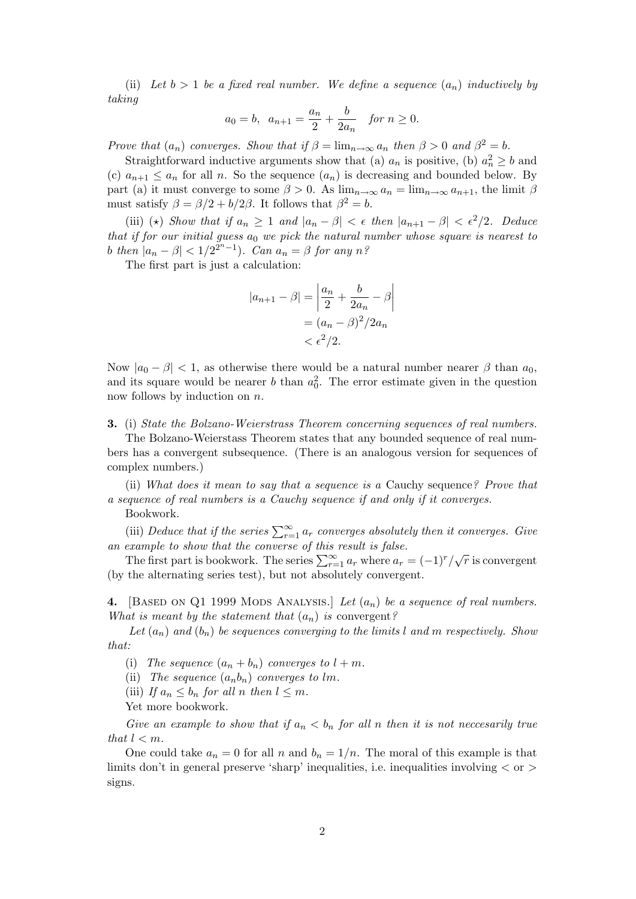(ii) Let  $b > 1$  be a fixed real number. We define a sequence  $(a_n)$  inductively by taking

$$
a_0 = b
$$
,  $a_{n+1} = \frac{a_n}{2} + \frac{b}{2a_n}$  for  $n \ge 0$ .

Prove that  $(a_n)$  converges. Show that if  $\beta = \lim_{n \to \infty} a_n$  then  $\beta > 0$  and  $\beta^2 = b$ .

Straightforward inductive arguments show that (a)  $a_n$  is positive, (b)  $a_n^2 \ge b$  and (c)  $a_{n+1} \le a_n$  for all n. So the sequence  $(a_n)$  is decreasing and bounded below. By part (a) it must converge to some  $\beta > 0$ . As  $\lim_{n\to\infty} a_n = \lim_{n\to\infty} a_{n+1}$ , the limit  $\beta$ must satisfy  $\beta = \beta/2 + b/2\beta$ . It follows that  $\beta^2 = b$ .

(iii) (\*) Show that if  $a_n \geq 1$  and  $|a_n - \beta| < \epsilon$  then  $|a_{n+1} - \beta| < \epsilon^2/2$ . Deduce that if for our initial guess  $a_0$  we pick the natural number whose square is nearest to b then  $|a_n - \beta| < 1/2^{2n-1}$ ). Can  $a_n = \beta$  for any n?

The first part is just a calculation:

$$
|a_{n+1} - \beta| = \left| \frac{a_n}{2} + \frac{b}{2a_n} - \beta \right|
$$
  
=  $(a_n - \beta)^2 / 2a_n$   
<  $\epsilon^2 / 2$ .

Now  $|a_0 - \beta| < 1$ , as otherwise there would be a natural number nearer  $\beta$  than  $a_0$ , and its square would be nearer b than  $a_0^2$ . The error estimate given in the question now follows by induction on n.

3. (i) State the Bolzano-Weierstrass Theorem concerning sequences of real numbers.

The Bolzano-Weierstass Theorem states that any bounded sequence of real numbers has a convergent subsequence. (There is an analogous version for sequences of complex numbers.)

(ii) What does it mean to say that a sequence is a Cauchy sequence? Prove that a sequence of real numbers is a Cauchy sequence if and only if it converges.

Bookwork.

(iii) Deduce that if the series  $\sum_{r=1}^{\infty} a_r$  converges absolutely then it converges. Give an example to show that the converse of this result is false.

The first part is bookwork. The series  $\sum_{r=1}^{\infty} a_r$  where  $a_r = (-1)^r / \sqrt{r}$  is convergent (by the alternating series test), but not absolutely convergent.

4. [BASED ON Q1 1999 MODS ANALYSIS.] Let  $(a_n)$  be a sequence of real numbers. What is meant by the statement that  $(a_n)$  is convergent?

Let  $(a_n)$  and  $(b_n)$  be sequences converging to the limits l and m respectively. Show that:

- (i) The sequence  $(a_n + b_n)$  converges to  $l + m$ .
- (ii) The sequence  $(a_nb_n)$  converges to lm.
- (iii) If  $a_n \leq b_n$  for all n then  $l \leq m$ .
- Yet more bookwork.

Give an example to show that if  $a_n < b_n$  for all n then it is not neccesarily true that  $l < m$ .

One could take  $a_n = 0$  for all n and  $b_n = 1/n$ . The moral of this example is that limits don't in general preserve 'sharp' inequalities, i.e. inequalities involving  $\langle$  or  $\rangle$ signs.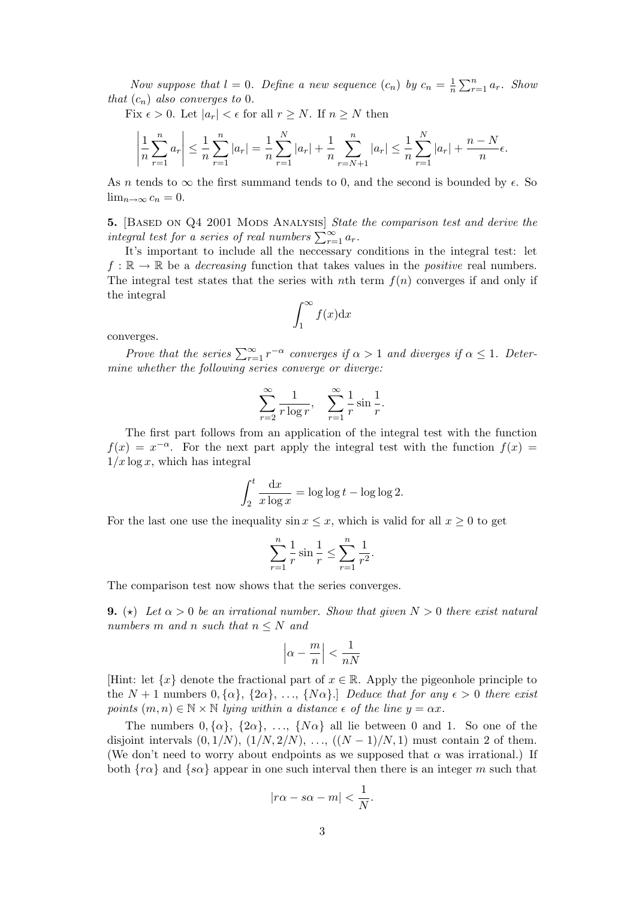Now suppose that  $l = 0$ . Define a new sequence  $(c_n)$  by  $c_n = \frac{1}{n}$  $\frac{1}{n} \sum_{r=1}^{n} a_r$ . Show that  $(c_n)$  also converges to 0.

Fix  $\epsilon > 0$ . Let  $|a_r| < \epsilon$  for all  $r \geq N$ . If  $n \geq N$  then

$$
\left|\frac{1}{n}\sum_{r=1}^{n}a_r\right| \leq \frac{1}{n}\sum_{r=1}^{n}|a_r| = \frac{1}{n}\sum_{r=1}^{N}|a_r| + \frac{1}{n}\sum_{r=N+1}^{n}|a_r| \leq \frac{1}{n}\sum_{r=1}^{N}|a_r| + \frac{n-N}{n}\epsilon.
$$

As n tends to  $\infty$  the first summand tends to 0, and the second is bounded by  $\epsilon$ . So  $\lim_{n\to\infty}c_n=0.$ 

**5.** [BASED ON Q4 2001 MODS ANALYSIS] State the comparison test and derive the integral test for a series of real numbers  $\sum_{r=1}^{\infty} a_r$ .

It's important to include all the neccessary conditions in the integral test: let  $f : \mathbb{R} \to \mathbb{R}$  be a *decreasing* function that takes values in the *positive* real numbers. The integral test states that the series with nth term  $f(n)$  converges if and only if the integral

$$
\int_{1}^{\infty} f(x) \mathrm{d}x
$$

converges.

Prove that the series  $\sum_{r=1}^{\infty} r^{-\alpha}$  converges if  $\alpha > 1$  and diverges if  $\alpha \leq 1$ . Determine whether the following series converge or diverge:

$$
\sum_{r=2}^{\infty} \frac{1}{r \log r}, \quad \sum_{r=1}^{\infty} \frac{1}{r} \sin \frac{1}{r}.
$$

The first part follows from an application of the integral test with the function  $f(x) = x^{-\alpha}$ . For the next part apply the integral test with the function  $f(x) =$  $1/x \log x$ , which has integral

$$
\int_2^t \frac{\mathrm{d}x}{x \log x} = \log \log t - \log \log 2.
$$

For the last one use the inequality  $\sin x \leq x$ , which is valid for all  $x \geq 0$  to get

$$
\sum_{r=1}^{n} \frac{1}{r} \sin \frac{1}{r} \le \sum_{r=1}^{n} \frac{1}{r^2}.
$$

The comparison test now shows that the series converges.

**9.** ( $\star$ ) Let  $\alpha > 0$  be an irrational number. Show that given  $N > 0$  there exist natural numbers m and n such that  $n \leq N$  and

$$
\left|\alpha-\frac{m}{n}\right|<\frac{1}{nN}
$$

[Hint: let  $\{x\}$  denote the fractional part of  $x \in \mathbb{R}$ . Apply the pigeonhole principle to the  $N + 1$  numbers  $0, {\{\alpha\}}, {\{2\alpha\}}, \ldots, {\{N\alpha\}}$ .] Deduce that for any  $\epsilon > 0$  there exist points  $(m, n) \in \mathbb{N} \times \mathbb{N}$  lying within a distance  $\epsilon$  of the line  $y = \alpha x$ .

The numbers  $0, {\alpha}, {\alpha}$ ,  ${2\alpha}, \ldots, {\alpha\}$  all lie between 0 and 1. So one of the disjoint intervals  $(0, 1/N)$ ,  $(1/N, 2/N)$ , ...,  $((N-1)/N, 1)$  must contain 2 of them. (We don't need to worry about endpoints as we supposed that  $\alpha$  was irrational.) If both  $\{r\alpha\}$  and  $\{s\alpha\}$  appear in one such interval then there is an integer m such that

$$
|r\alpha - s\alpha - m| < \frac{1}{N}.
$$